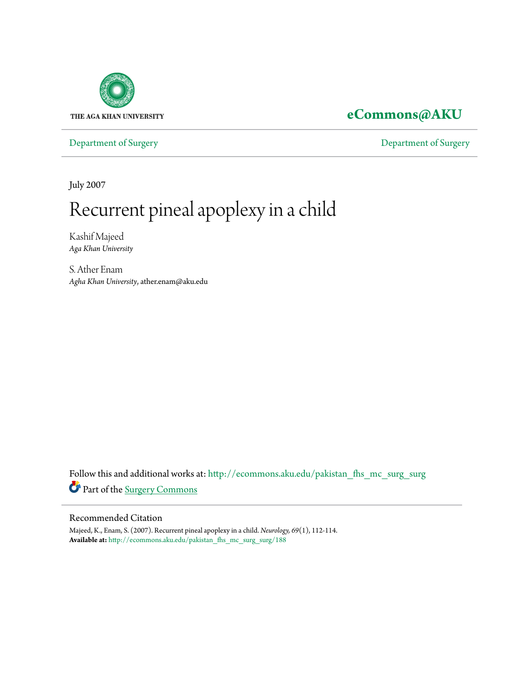

### **[eCommons@AKU](http://ecommons.aku.edu?utm_source=ecommons.aku.edu%2Fpakistan_fhs_mc_surg_surg%2F188&utm_medium=PDF&utm_campaign=PDFCoverPages)**

[Department of Surgery](http://ecommons.aku.edu/pakistan_fhs_mc_surg_surg?utm_source=ecommons.aku.edu%2Fpakistan_fhs_mc_surg_surg%2F188&utm_medium=PDF&utm_campaign=PDFCoverPages) [Department of Surgery](http://ecommons.aku.edu/pakistan_fhs_mc_surg?utm_source=ecommons.aku.edu%2Fpakistan_fhs_mc_surg_surg%2F188&utm_medium=PDF&utm_campaign=PDFCoverPages)

July 2007

# Recurrent pineal apoplexy in a child

Kashif Majeed *Aga Khan University*

S. Ather Enam *Agha Khan University*, ather.enam@aku.edu

Follow this and additional works at: [http://ecommons.aku.edu/pakistan\\_fhs\\_mc\\_surg\\_surg](http://ecommons.aku.edu/pakistan_fhs_mc_surg_surg?utm_source=ecommons.aku.edu%2Fpakistan_fhs_mc_surg_surg%2F188&utm_medium=PDF&utm_campaign=PDFCoverPages) Part of the [Surgery Commons](http://network.bepress.com/hgg/discipline/706?utm_source=ecommons.aku.edu%2Fpakistan_fhs_mc_surg_surg%2F188&utm_medium=PDF&utm_campaign=PDFCoverPages)

### Recommended Citation

Majeed, K., Enam, S. (2007). Recurrent pineal apoplexy in a child. *Neurology, 69*(1), 112-114. **Available at:** [http://ecommons.aku.edu/pakistan\\_fhs\\_mc\\_surg\\_surg/188](http://ecommons.aku.edu/pakistan_fhs_mc_surg_surg/188)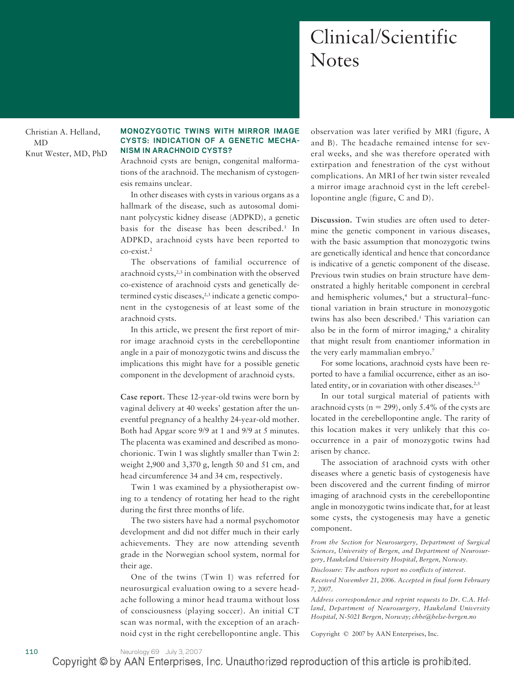## Clinical/Scientific Notes

Christian A. Helland, MD Knut Wester, MD, PhD

#### **MONOZYGOTIC TWINS WITH MIRROR IMAGE CYSTS: INDICATION OF A GENETIC MECHA-NISM IN ARACHNOID CYSTS?**

Arachnoid cysts are benign, congenital malformations of the arachnoid. The mechanism of cystogenesis remains unclear.

In other diseases with cysts in various organs as a hallmark of the disease, such as autosomal dominant polycystic kidney disease (ADPKD), a genetic basis for the disease has been described.<sup>1</sup> In ADPKD, arachnoid cysts have been reported to co-exist.2

The observations of familial occurrence of arachnoid cysts,<sup>2,3</sup> in combination with the observed co-existence of arachnoid cysts and genetically determined cystic diseases,<sup>2,3</sup> indicate a genetic component in the cystogenesis of at least some of the arachnoid cysts.

In this article, we present the first report of mirror image arachnoid cysts in the cerebellopontine angle in a pair of monozygotic twins and discuss the implications this might have for a possible genetic component in the development of arachnoid cysts.

**Case report.** These 12-year-old twins were born by vaginal delivery at 40 weeks' gestation after the uneventful pregnancy of a healthy 24-year-old mother. Both had Apgar score 9/9 at 1 and 9/9 at 5 minutes. The placenta was examined and described as monochorionic. Twin 1 was slightly smaller than Twin 2: weight 2,900 and 3,370 g, length 50 and 51 cm, and head circumference 34 and 34 cm, respectively.

Twin 1 was examined by a physiotherapist owing to a tendency of rotating her head to the right during the first three months of life.

The two sisters have had a normal psychomotor development and did not differ much in their early achievements. They are now attending seventh grade in the Norwegian school system, normal for their age.

One of the twins (Twin 1) was referred for neurosurgical evaluation owing to a severe headache following a minor head trauma without loss of consciousness (playing soccer). An initial CT scan was normal, with the exception of an arachnoid cyst in the right cerebellopontine angle. This observation was later verified by MRI (figure, A and B). The headache remained intense for several weeks, and she was therefore operated with extirpation and fenestration of the cyst without complications. An MRI of her twin sister revealed a mirror image arachnoid cyst in the left cerebellopontine angle (figure, C and D).

**Discussion.** Twin studies are often used to determine the genetic component in various diseases, with the basic assumption that monozygotic twins are genetically identical and hence that concordance is indicative of a genetic component of the disease. Previous twin studies on brain structure have demonstrated a highly heritable component in cerebral and hemispheric volumes,<sup>4</sup> but a structural–functional variation in brain structure in monozygotic twins has also been described.<sup>5</sup> This variation can also be in the form of mirror imaging, $6$  a chirality that might result from enantiomer information in the very early mammalian embryo.7

For some locations, arachnoid cysts have been reported to have a familial occurrence, either as an isolated entity, or in covariation with other diseases.<sup>2,3</sup>

In our total surgical material of patients with arachnoid cysts ( $n = 299$ ), only 5.4% of the cysts are located in the cerebellopontine angle. The rarity of this location makes it very unlikely that this cooccurrence in a pair of monozygotic twins had arisen by chance.

The association of arachnoid cysts with other diseases where a genetic basis of cystogenesis have been discovered and the current finding of mirror imaging of arachnoid cysts in the cerebellopontine angle in monozygotic twins indicate that, for at least some cysts, the cystogenesis may have a genetic component.

*From the Section for Neurosurgery, Department of Surgical Sciences, University of Bergen, and Department of Neurosurgery, Haukeland University Hospital, Bergen, Norway.*

*Disclosure: The authors report no conflicts of interest.*

*Received November 21, 2006. Accepted in final form February 7, 2007.*

*Address correspondence and reprint requests to Dr. C.A. Helland, Department of Neurosurgery, Haukeland University Hospital, N-5021 Bergen, Norway; chhe@helse-bergen.no*

Copyright © 2007 by AAN Enterprises, Inc.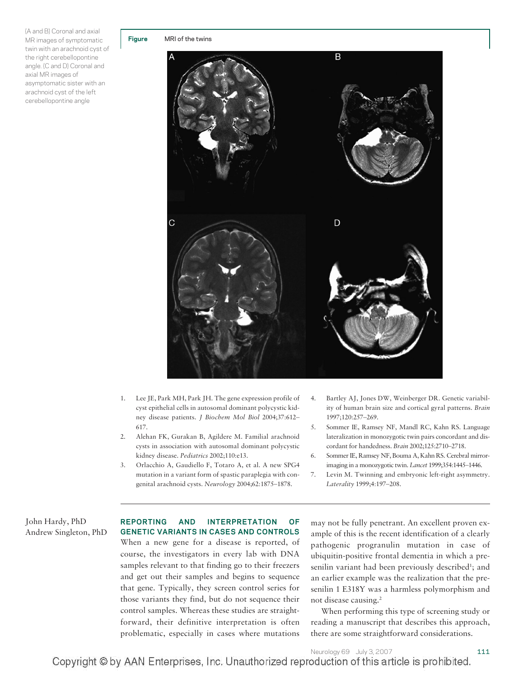(A and B) Coronal and axial MR images of symptomatic twin with an arachnoid cyst of the right cerebellopontine angle. (C and D) Coronal and axial MR images of asymptomatic sister with an arachnoid cyst of the left cerebellopontine angle

#### **Figure** MRI of the twins



- 1. Lee JE, Park MH, Park JH. The gene expression profile of cyst epithelial cells in autosomal dominant polycystic kidney disease patients. *J Biochem Mol Biol* 2004;37:612– 617.
- 2. Alehan FK, Gurakan B, Agildere M. Familial arachnoid cysts in association with autosomal dominant polycystic kidney disease. *Pediatrics* 2002;110:e13.
- 3. Orlacchio A, Gaudiello F, Totaro A, et al. A new SPG4 mutation in a variant form of spastic paraplegia with congenital arachnoid cysts. *Neurology* 2004;62:1875–1878.
- 4. Bartley AJ, Jones DW, Weinberger DR. Genetic variability of human brain size and cortical gyral patterns. *Brain* 1997;120:257–269.
- 5. Sommer IE, Ramsey NF, Mandl RC, Kahn RS. Language lateralization in monozygotic twin pairs concordant and discordant for handedness. *Brain* 2002;125:2710–2718.
- 6. Sommer IE, Ramsey NF, Bouma A, Kahn RS. Cerebral mirrorimaging in a monozygotic twin. *Lancet* 1999;354:1445–1446.
- 7. Levin M. Twinning and embryonic left-right asymmetry. *Laterality* 1999;4:197–208.

#### John Hardy, PhD Andrew Singleton, PhD

#### **REPORTING AND INTERPRETATION OF GENETIC VARIANTS IN CASES AND CONTROLS**

When a new gene for a disease is reported, of course, the investigators in every lab with DNA samples relevant to that finding go to their freezers and get out their samples and begins to sequence that gene. Typically, they screen control series for those variants they find, but do not sequence their control samples. Whereas these studies are straightforward, their definitive interpretation is often problematic, especially in cases where mutations

may not be fully penetrant. An excellent proven example of this is the recent identification of a clearly pathogenic progranulin mutation in case of ubiquitin-positive frontal dementia in which a presenilin variant had been previously described<sup>1</sup>; and an earlier example was the realization that the presenilin 1 E318Y was a harmless polymorphism and not disease causing.2

When performing this type of screening study or reading a manuscript that describes this approach, there are some straightforward considerations.

Neurology 69 July 3, 2007 111

Copyright © by AAN Enterprises, Inc. Unauthorized reproduction of this article is prohibited.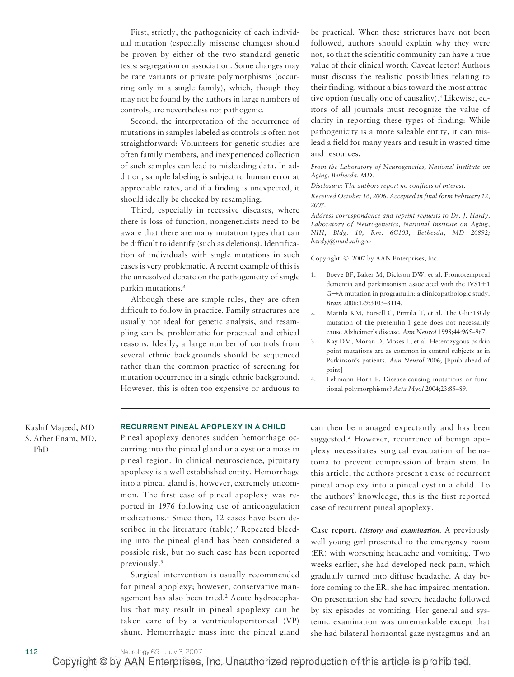First, strictly, the pathogenicity of each individual mutation (especially missense changes) should be proven by either of the two standard genetic tests: segregation or association. Some changes may be rare variants or private polymorphisms (occurring only in a single family), which, though they may not be found by the authors in large numbers of controls, are nevertheless not pathogenic.

Second, the interpretation of the occurrence of mutations in samples labeled as controls is often not straightforward: Volunteers for genetic studies are often family members, and inexperienced collection of such samples can lead to misleading data. In addition, sample labeling is subject to human error at appreciable rates, and if a finding is unexpected, it should ideally be checked by resampling.

Third, especially in recessive diseases, where there is loss of function, nongeneticists need to be aware that there are many mutation types that can be difficult to identify (such as deletions). Identification of individuals with single mutations in such cases is very problematic. A recent example of this is the unresolved debate on the pathogenicity of single parkin mutations.3

Although these are simple rules, they are often difficult to follow in practice. Family structures are usually not ideal for genetic analysis, and resampling can be problematic for practical and ethical reasons. Ideally, a large number of controls from several ethnic backgrounds should be sequenced rather than the common practice of screening for mutation occurrence in a single ethnic background. However, this is often too expensive or arduous to

be practical. When these strictures have not been followed, authors should explain why they were not, so that the scientific community can have a true value of their clinical worth: Caveat lector! Authors must discuss the realistic possibilities relating to their finding, without a bias toward the most attractive option (usually one of causality).4 Likewise, editors of all journals must recognize the value of clarity in reporting these types of finding: While pathogenicity is a more saleable entity, it can mislead a field for many years and result in wasted time and resources.

*From the Laboratory of Neurogenetics, National Institute on Aging, Bethesda, MD.*

*Disclosure: The authors report no conflicts of interest.*

*Received October 16, 2006. Accepted in final form February 12, 2007.*

*Address correspondence and reprint requests to Dr. J. Hardy, Laboratory of Neurogenetics, National Institute on Aging, NIH, Bldg. 10, Rm. 6C103, Bethesda, MD 20892; hardyj@mail.nih.gov*

Copyright © 2007 by AAN Enterprises, Inc.

- 1. Boeve BF, Baker M, Dickson DW, et al. Frontotemporal dementia and parkinsonism associated with the IVS1-1  $G \rightarrow A$  mutation in progranulin: a clinicopathologic study. *Brain* 2006;129:3103–3114.
- 2. Mattila KM, Forsell C, Pirttila T, et al. The Glu318Gly mutation of the presenilin-1 gene does not necessarily cause Alzheimer's disease. *Ann Neurol* 1998;44:965–967.
- 3. Kay DM, Moran D, Moses L, et al. Heterozygous parkin point mutations are as common in control subjects as in Parkinson's patients. *Ann Neurol* 2006; [Epub ahead of print]
- 4. Lehmann-Horn F. Disease-causing mutations or functional polymorphisms? *Acta Myol* 2004;23:85–89.

Kashif Majeed, MD S. Ather Enam, MD, PhD

#### **RECURRENT PINEAL APOPLEXY IN A CHILD**

Pineal apoplexy denotes sudden hemorrhage occurring into the pineal gland or a cyst or a mass in pineal region. In clinical neuroscience, pituitary apoplexy is a well established entity. Hemorrhage into a pineal gland is, however, extremely uncommon. The first case of pineal apoplexy was reported in 1976 following use of anticoagulation medications.1 Since then, 12 cases have been described in the literature (table).<sup>2</sup> Repeated bleeding into the pineal gland has been considered a possible risk, but no such case has been reported previously.3

Surgical intervention is usually recommended for pineal apoplexy; however, conservative management has also been tried.<sup>2</sup> Acute hydrocephalus that may result in pineal apoplexy can be taken care of by a ventriculoperitoneal (VP) shunt. Hemorrhagic mass into the pineal gland can then be managed expectantly and has been suggested.2 However, recurrence of benign apoplexy necessitates surgical evacuation of hematoma to prevent compression of brain stem. In this article, the authors present a case of recurrent pineal apoplexy into a pineal cyst in a child. To the authors' knowledge, this is the first reported case of recurrent pineal apoplexy.

**Case report.** *History and examination.* A previously well young girl presented to the emergency room (ER) with worsening headache and vomiting. Two weeks earlier, she had developed neck pain, which gradually turned into diffuse headache. A day before coming to the ER, she had impaired mentation. On presentation she had severe headache followed by six episodes of vomiting. Her general and systemic examination was unremarkable except that she had bilateral horizontal gaze nystagmus and an

112 Neurology 69 July 3, 2007

Copyright © by AAN Enterprises, Inc. Unauthorized reproduction of this article is prohibited.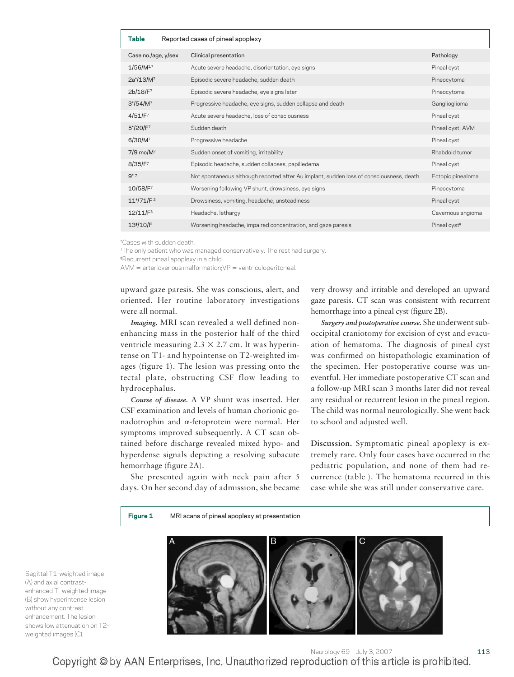| Table                      | Reported cases of pineal apoplexy |                                                                                         |                          |
|----------------------------|-----------------------------------|-----------------------------------------------------------------------------------------|--------------------------|
| Case no./age, y/sex        |                                   | Clinical presentation                                                                   | Pathology                |
| $1/56/M^{1.7}$             |                                   | Acute severe headache, disorientation, eye signs                                        | Pineal cyst              |
| 2a*/13/M <sup>7</sup>      |                                   | Episodic severe headache, sudden death                                                  | Pineocytoma              |
| 2b/18/F <sup>7</sup>       |                                   | Episodic severe headache, eye signs later                                               | Pineocytoma              |
| $3'/54/M^7$                |                                   | Progressive headache, eye signs, sudden collapse and death                              | Ganglioglioma            |
| 4/51/F <sup>7</sup>        |                                   | Acute severe headache, loss of consciousness                                            | Pineal cyst              |
| 5*/20/F7                   |                                   | Sudden death                                                                            | Pineal cyst, AVM         |
| $6/30/M^7$                 |                                   | Progressive headache                                                                    | Pineal cyst              |
| $7/9$ mo/M <sup>7</sup>    |                                   | Sudden onset of vomiting, irritability                                                  | Rhabdoid tumor           |
| 8/35/F7                    |                                   | Episodic headache, sudden collapses, papilledema                                        | Pineal cyst              |
| $9*7$                      |                                   | Not spontaneous although reported after Au implant, sudden loss of consciousness, death | Ectopic pinealoma        |
| 10/58/F7                   |                                   | Worsening following VP shunt, drowsiness, eye signs                                     | Pineocytoma              |
| $11^{t}/71/F$ <sup>2</sup> |                                   | Drowsiness, vomiting, headache, unsteadiness                                            | Pineal cyst              |
| 12/11/F <sup>3</sup>       |                                   | Headache, lethargy                                                                      | Cavernous angioma        |
| 13+/10/F                   |                                   | Worsening headache, impaired concentration, and gaze paresis                            | Pineal cyst <sup>#</sup> |

\*Cases with sudden death.

†The only patient who was managed conservatively. The rest had surgery.

‡Recurrent pineal apoplexy in a child.

 $AVM =$  arteriovenous malformation; $VP =$  ventriculoperitoneal.

upward gaze paresis. She was conscious, alert, and oriented. Her routine laboratory investigations were all normal.

*Imaging.* MRI scan revealed a well defined nonenhancing mass in the posterior half of the third ventricle measuring  $2.3 \times 2.7$  cm. It was hyperintense on T1- and hypointense on T2-weighted images (figure 1). The lesion was pressing onto the tectal plate, obstructing CSF flow leading to hydrocephalus.

*Course of disease.* A VP shunt was inserted. Her CSF examination and levels of human chorionic gonadotrophin and  $\alpha$ -fetoprotein were normal. Her symptoms improved subsequently. A CT scan obtained before discharge revealed mixed hypo- and hyperdense signals depicting a resolving subacute hemorrhage (figure 2A).

She presented again with neck pain after 5 days. On her second day of admission, she became very drowsy and irritable and developed an upward gaze paresis. CT scan was consistent with recurrent hemorrhage into a pineal cyst (figure 2B).

*Surgery and postoperative course.* She underwent suboccipital craniotomy for excision of cyst and evacuation of hematoma. The diagnosis of pineal cyst was confirmed on histopathologic examination of the specimen. Her postoperative course was uneventful. Her immediate postoperative CT scan and a follow-up MRI scan 3 months later did not reveal any residual or recurrent lesion in the pineal region. The child was normal neurologically. She went back to school and adjusted well.

**Discussion.** Symptomatic pineal apoplexy is extremely rare. Only four cases have occurred in the pediatric population, and none of them had recurrence (table ). The hematoma recurred in this case while she was still under conservative care.

**Figure 1** MRI scans of pineal apoplexy at presentation



<sup>Neurology 69</sup> July 3, 2007<br>Copyright © by AAN Enterprises, Inc. Unauthorized reproduction of this article is prohibited.